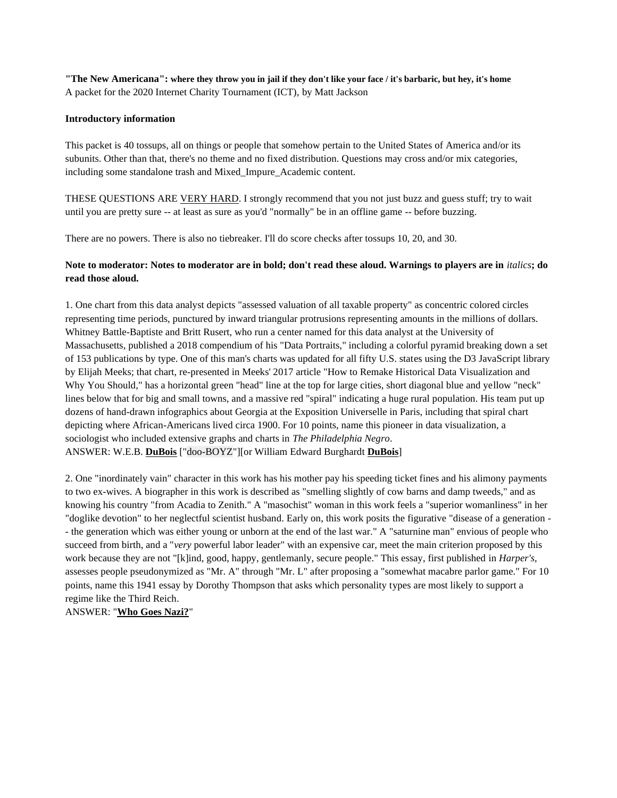**"The New Americana": where they throw you in jail if they don't like your face / it's barbaric, but hey, it's home** A packet for the 2020 Internet Charity Tournament (ICT), by Matt Jackson

### **Introductory information**

This packet is 40 tossups, all on things or people that somehow pertain to the United States of America and/or its subunits. Other than that, there's no theme and no fixed distribution. Questions may cross and/or mix categories, including some standalone trash and Mixed\_Impure\_Academic content.

THESE QUESTIONS ARE VERY HARD. I strongly recommend that you not just buzz and guess stuff; try to wait until you are pretty sure -- at least as sure as you'd "normally" be in an offline game -- before buzzing.

There are no powers. There is also no tiebreaker. I'll do score checks after tossups 10, 20, and 30.

# **Note to moderator: Notes to moderator are in bold; don't read these aloud. Warnings to players are in** *italics***; do read those aloud.**

1. One chart from this data analyst depicts "assessed valuation of all taxable property" as concentric colored circles representing time periods, punctured by inward triangular protrusions representing amounts in the millions of dollars. Whitney Battle-Baptiste and Britt Rusert, who run a center named for this data analyst at the University of Massachusetts, published a 2018 compendium of his "Data Portraits," including a colorful pyramid breaking down a set of 153 publications by type. One of this man's charts was updated for all fifty U.S. states using the D3 JavaScript library by Elijah Meeks; that chart, re-presented in Meeks' 2017 article "How to Remake Historical Data Visualization and Why You Should," has a horizontal green "head" line at the top for large cities, short diagonal blue and yellow "neck" lines below that for big and small towns, and a massive red "spiral" indicating a huge rural population. His team put up dozens of hand-drawn infographics about Georgia at the Exposition Universelle in Paris, including that spiral chart depicting where African-Americans lived circa 1900. For 10 points, name this pioneer in data visualization, a sociologist who included extensive graphs and charts in *The Philadelphia Negro*. ANSWER: W.E.B. **DuBois** ["doo-BOYZ"][or William Edward Burghardt **DuBois**]

2. One "inordinately vain" character in this work has his mother pay his speeding ticket fines and his alimony payments to two ex-wives. A biographer in this work is described as "smelling slightly of cow barns and damp tweeds," and as knowing his country "from Acadia to Zenith." A "masochist" woman in this work feels a "superior womanliness" in her "doglike devotion" to her neglectful scientist husband. Early on, this work posits the figurative "disease of a generation - - the generation which was either young or unborn at the end of the last war." A "saturnine man" envious of people who succeed from birth, and a "*very* powerful labor leader" with an expensive car, meet the main criterion proposed by this work because they are not "[k]ind, good, happy, gentlemanly, secure people." This essay, first published in *Harper's*, assesses people pseudonymized as "Mr. A" through "Mr. L" after proposing a "somewhat macabre parlor game." For 10 points, name this 1941 essay by Dorothy Thompson that asks which personality types are most likely to support a regime like the Third Reich.

ANSWER: "**Who Goes Nazi?**"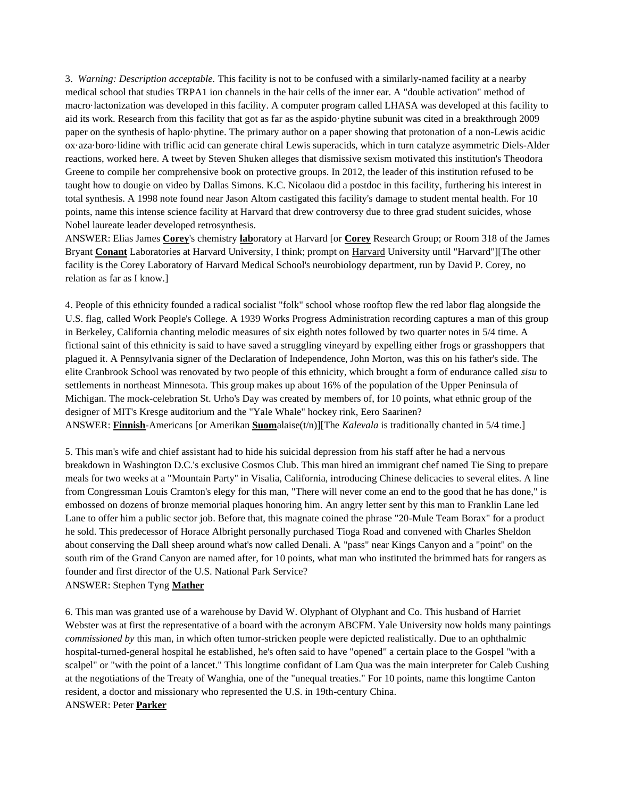3. *Warning: Description acceptable.* This facility is not to be confused with a similarly-named facility at a nearby medical school that studies TRPA1 ion channels in the hair cells of the inner ear. A "double activation" method of macro·lactonization was developed in this facility. A computer program called LHASA was developed at this facility to aid its work. Research from this facility that got as far as the aspido·phytine subunit was cited in a breakthrough 2009 paper on the synthesis of haplo·phytine. The primary author on a paper showing that protonation of a non-Lewis acidic ox·aza·boro·lidine with triflic acid can generate chiral Lewis superacids, which in turn catalyze asymmetric Diels-Alder reactions, worked here. A tweet by Steven Shuken alleges that dismissive sexism motivated this institution's Theodora Greene to compile her comprehensive book on protective groups. In 2012, the leader of this institution refused to be taught how to dougie on video by Dallas Simons. K.C. Nicolaou did a postdoc in this facility, furthering his interest in total synthesis. A 1998 note found near Jason Altom castigated this facility's damage to student mental health. For 10 points, name this intense science facility at Harvard that drew controversy due to three grad student suicides, whose Nobel laureate leader developed retrosynthesis.

ANSWER: Elias James **Corey**'s chemistry **lab**oratory at Harvard [or **Corey** Research Group; or Room 318 of the James Bryant **Conant** Laboratories at Harvard University, I think; prompt on Harvard University until "Harvard"][The other facility is the Corey Laboratory of Harvard Medical School's neurobiology department, run by David P. Corey, no relation as far as I know.]

4. People of this ethnicity founded a radical socialist "folk" school whose rooftop flew the red labor flag alongside the U.S. flag, called Work People's College. A 1939 Works Progress Administration recording captures a man of this group in Berkeley, California chanting melodic measures of six eighth notes followed by two quarter notes in 5/4 time. A fictional saint of this ethnicity is said to have saved a struggling vineyard by expelling either frogs or grasshoppers that plagued it. A Pennsylvania signer of the Declaration of Independence, John Morton, was this on his father's side. The elite Cranbrook School was renovated by two people of this ethnicity, which brought a form of endurance called *sisu* to settlements in northeast Minnesota. This group makes up about 16% of the population of the Upper Peninsula of Michigan. The mock-celebration St. Urho's Day was created by members of, for 10 points, what ethnic group of the designer of MIT's Kresge auditorium and the "Yale Whale" hockey rink, Eero Saarinen? ANSWER: **Finnish**-Americans [or Amerikan **Suom**alaise(t/n)][The *Kalevala* is traditionally chanted in 5/4 time.]

5. This man's wife and chief assistant had to hide his suicidal depression from his staff after he had a nervous breakdown in Washington D.C.'s exclusive Cosmos Club. This man hired an immigrant chef named Tie Sing to prepare meals for two weeks at a "Mountain Party'' in Visalia, California, introducing Chinese delicacies to several elites. A line from Congressman Louis Cramton's elegy for this man, "There will never come an end to the good that he has done," is embossed on dozens of bronze memorial plaques honoring him. An angry letter sent by this man to Franklin Lane led Lane to offer him a public sector job. Before that, this magnate coined the phrase "20-Mule Team Borax" for a product he sold. This predecessor of Horace Albright personally purchased Tioga Road and convened with Charles Sheldon about conserving the Dall sheep around what's now called Denali. A "pass" near Kings Canyon and a "point" on the south rim of the Grand Canyon are named after, for 10 points, what man who instituted the brimmed hats for rangers as founder and first director of the U.S. National Park Service?

ANSWER: Stephen Tyng **Mather**

6. This man was granted use of a warehouse by David W. Olyphant of Olyphant and Co. This husband of Harriet Webster was at first the representative of a board with the acronym ABCFM. Yale University now holds many paintings *commissioned by* this man, in which often tumor-stricken people were depicted realistically. Due to an ophthalmic hospital-turned-general hospital he established, he's often said to have "opened" a certain place to the Gospel "with a scalpel" or "with the point of a lancet." This longtime confidant of Lam Qua was the main interpreter for Caleb Cushing at the negotiations of the Treaty of Wanghia, one of the "unequal treaties." For 10 points, name this longtime Canton resident, a doctor and missionary who represented the U.S. in 19th-century China. ANSWER: Peter **Parker**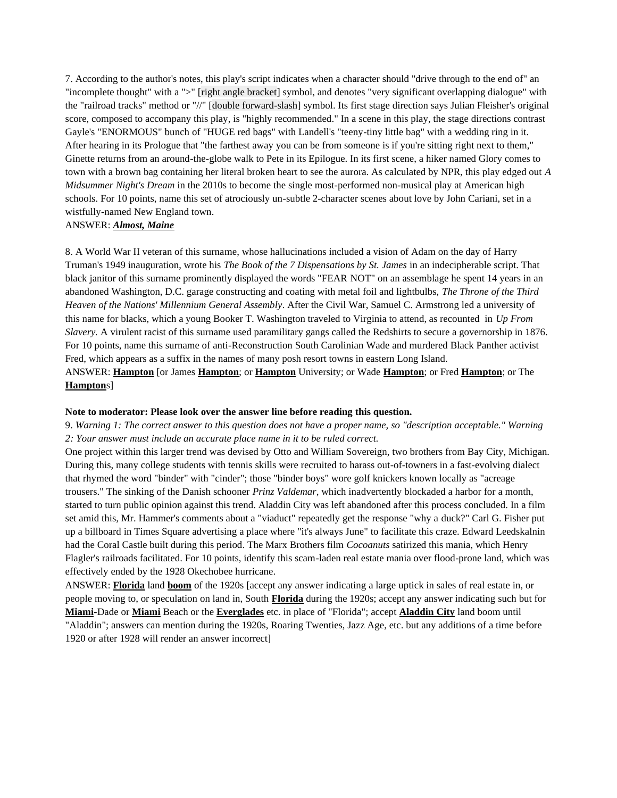7. According to the author's notes, this play's script indicates when a character should "drive through to the end of" an "incomplete thought" with a ">" [right angle bracket] symbol, and denotes "very significant overlapping dialogue" with the "railroad tracks" method or "//" [double forward-slash] symbol. Its first stage direction says Julian Fleisher's original score, composed to accompany this play, is "highly recommended." In a scene in this play, the stage directions contrast Gayle's "ENORMOUS" bunch of "HUGE red bags" with Landell's "teeny-tiny little bag" with a wedding ring in it. After hearing in its Prologue that "the farthest away you can be from someone is if you're sitting right next to them," Ginette returns from an around-the-globe walk to Pete in its Epilogue. In its first scene, a hiker named Glory comes to town with a brown bag containing her literal broken heart to see the aurora. As calculated by NPR, this play edged out *A Midsummer Night's Dream* in the 2010s to become the single most-performed non-musical play at American high schools. For 10 points, name this set of atrociously un-subtle 2-character scenes about love by John Cariani, set in a wistfully-named New England town.

### ANSWER: *Almost, Maine*

8. A World War II veteran of this surname, whose hallucinations included a vision of Adam on the day of Harry Truman's 1949 inauguration, wrote his *The Book of the 7 Dispensations by St. James* in an indecipherable script. That black janitor of this surname prominently displayed the words "FEAR NOT" on an assemblage he spent 14 years in an abandoned Washington, D.C. garage constructing and coating with metal foil and lightbulbs, *The Throne of the Third Heaven of the Nations' Millennium General Assembly*. After the Civil War, Samuel C. Armstrong led a university of this name for blacks, which a young Booker T. Washington traveled to Virginia to attend, as recounted in *Up From Slavery.* A virulent racist of this surname used paramilitary gangs called the Redshirts to secure a governorship in 1876. For 10 points, name this surname of anti-Reconstruction South Carolinian Wade and murdered Black Panther activist Fred, which appears as a suffix in the names of many posh resort towns in eastern Long Island. ANSWER: **Hampton** [or James **Hampton**; or **Hampton** University; or Wade **Hampton**; or Fred **Hampton**; or The **Hampton**s]

### **Note to moderator: Please look over the answer line before reading this question.**

## 9. *Warning 1: The correct answer to this question does not have a proper name, so "description acceptable." Warning 2: Your answer must include an accurate place name in it to be ruled correct.*

One project within this larger trend was devised by Otto and William Sovereign, two brothers from Bay City, Michigan. During this, many college students with tennis skills were recruited to harass out-of-towners in a fast-evolving dialect that rhymed the word "binder" with "cinder"; those "binder boys" wore golf knickers known locally as "acreage trousers." The sinking of the Danish schooner *Prinz Valdemar*, which inadvertently blockaded a harbor for a month, started to turn public opinion against this trend. Aladdin City was left abandoned after this process concluded. In a film set amid this, Mr. Hammer's comments about a "viaduct" repeatedly get the response "why a duck?" Carl G. Fisher put up a billboard in Times Square advertising a place where "it's always June" to facilitate this craze. Edward Leedskalnin had the Coral Castle built during this period. The Marx Brothers film *Cocoanuts* satirized this mania, which Henry Flagler's railroads facilitated. For 10 points, identify this scam-laden real estate mania over flood-prone land, which was effectively ended by the 1928 Okechobee hurricane.

ANSWER: **Florida** land **boom** of the 1920s [accept any answer indicating a large uptick in sales of real estate in, or people moving to, or speculation on land in, South **Florida** during the 1920s; accept any answer indicating such but for **Miami**-Dade or **Miami** Beach or the **Everglades** etc. in place of "Florida"; accept **Aladdin City** land boom until "Aladdin"; answers can mention during the 1920s, Roaring Twenties, Jazz Age, etc. but any additions of a time before 1920 or after 1928 will render an answer incorrect]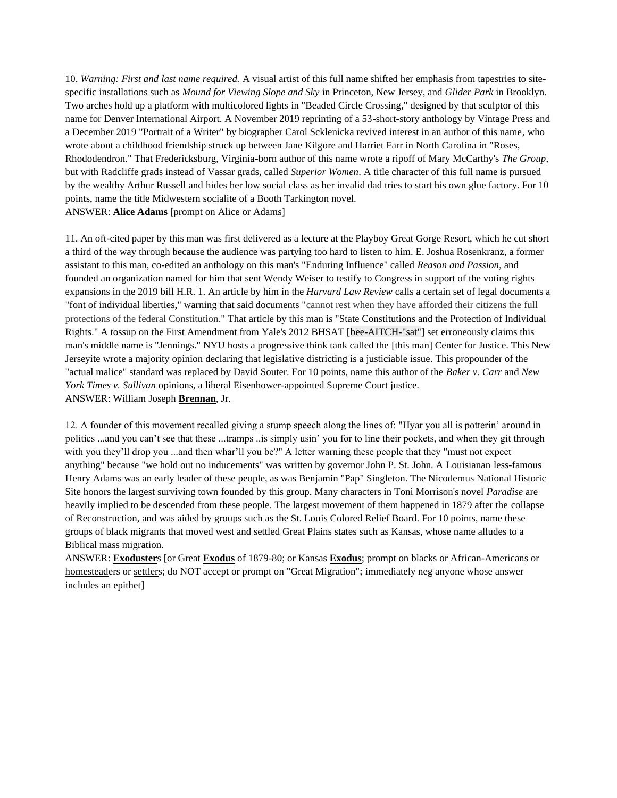10. *Warning: First and last name required.* A visual artist of this full name shifted her emphasis from tapestries to sitespecific installations such as *Mound for Viewing Slope and Sky* in Princeton, New Jersey, and *Glider Park* in Brooklyn. Two arches hold up a platform with multicolored lights in "Beaded Circle Crossing," designed by that sculptor of this name for Denver International Airport. A November 2019 reprinting of a 53-short-story anthology by Vintage Press and a December 2019 "Portrait of a Writer" by biographer Carol Scklenicka revived interest in an author of this name, who wrote about a childhood friendship struck up between Jane Kilgore and Harriet Farr in North Carolina in "Roses, Rhododendron." That Fredericksburg, Virginia-born author of this name wrote a ripoff of Mary McCarthy's *The Group*, but with Radcliffe grads instead of Vassar grads, called *Superior Women*. A title character of this full name is pursued by the wealthy Arthur Russell and hides her low social class as her invalid dad tries to start his own glue factory. For 10 points, name the title Midwestern socialite of a Booth Tarkington novel. ANSWER: **Alice Adams** [prompt on Alice or Adams]

11. An oft-cited paper by this man was first delivered as a lecture at the Playboy Great Gorge Resort, which he cut short a third of the way through because the audience was partying too hard to listen to him. E. Joshua Rosenkranz, a former assistant to this man, co-edited an anthology on this man's "Enduring Influence" called *Reason and Passion*, and founded an organization named for him that sent Wendy Weiser to testify to Congress in support of the voting rights expansions in the 2019 bill H.R. 1. An article by him in the *Harvard Law Review* calls a certain set of legal documents a "font of individual liberties," warning that said documents "cannot rest when they have afforded their citizens the full protections of the federal Constitution." That article by this man is "State Constitutions and the Protection of Individual Rights." A tossup on the First Amendment from Yale's 2012 BHSAT [bee-AITCH-"sat"] set erroneously claims this man's middle name is "Jennings." NYU hosts a progressive think tank called the [this man] Center for Justice. This New Jerseyite wrote a majority opinion declaring that legislative districting is a justiciable issue. This propounder of the "actual malice" standard was replaced by David Souter. For 10 points, name this author of the *Baker v. Carr* and *New York Times v. Sullivan* opinions, a liberal Eisenhower-appointed Supreme Court justice. ANSWER: William Joseph **Brennan**, Jr.

12. A founder of this movement recalled giving a stump speech along the lines of: "Hyar you all is potterin' around in politics ...and you can't see that these ...tramps ..is simply usin' you for to line their pockets, and when they git through with you they'll drop you ...and then whar'll you be?" A letter warning these people that they "must not expect anything" because "we hold out no inducements" was written by governor John P. St. John. A Louisianan less-famous Henry Adams was an early leader of these people, as was Benjamin "Pap" Singleton. The Nicodemus National Historic Site honors the largest surviving town founded by this group. Many characters in Toni Morrison's novel *Paradise* are heavily implied to be descended from these people. The largest movement of them happened in 1879 after the collapse of Reconstruction, and was aided by groups such as the St. Louis Colored Relief Board. For 10 points, name these groups of black migrants that moved west and settled Great Plains states such as Kansas, whose name alludes to a Biblical mass migration.

ANSWER: **Exoduster**s [or Great **Exodus** of 1879-80; or Kansas **Exodus**; prompt on blacks or African-Americans or homesteaders or settlers; do NOT accept or prompt on "Great Migration"; immediately neg anyone whose answer includes an epithet]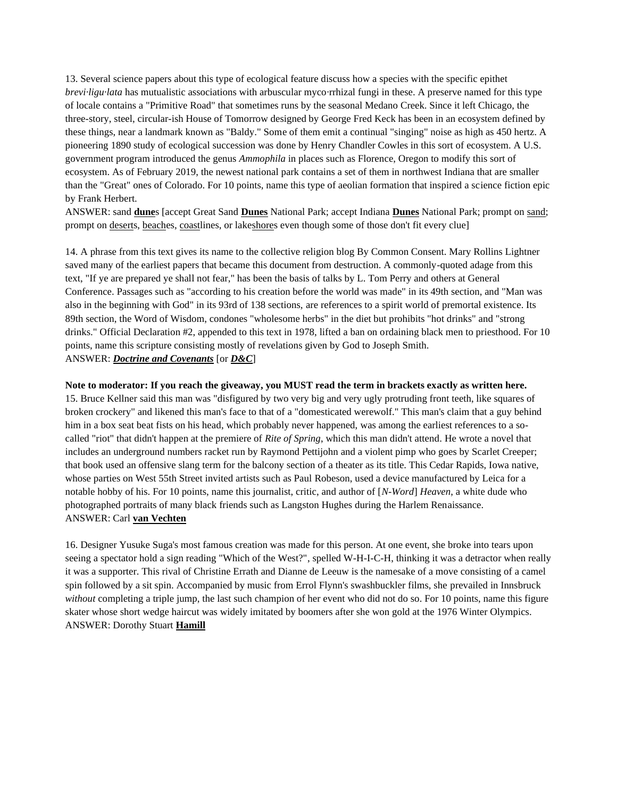13. Several science papers about this type of ecological feature discuss how a species with the specific epithet *brevi·ligu·lata* has mutualistic associations with arbuscular myco*·*rrhizal fungi in these. A preserve named for this type of locale contains a "Primitive Road" that sometimes runs by the seasonal Medano Creek. Since it left Chicago, the three-story, steel, circular-ish House of Tomorrow designed by George Fred Keck has been in an ecosystem defined by these things, near a landmark known as "Baldy." Some of them emit a continual "singing" noise as high as 450 hertz. A pioneering 1890 study of ecological succession was done by Henry Chandler Cowles in this sort of ecosystem. A U.S. government program introduced the genus *Ammophila* in places such as Florence, Oregon to modify this sort of ecosystem. As of February 2019, the newest national park contains a set of them in northwest Indiana that are smaller than the "Great" ones of Colorado. For 10 points, name this type of aeolian formation that inspired a science fiction epic by Frank Herbert.

ANSWER: sand **dune**s [accept Great Sand **Dunes** National Park; accept Indiana **Dunes** National Park; prompt on sand; prompt on deserts, beaches, coastlines, or lakeshores even though some of those don't fit every clue]

14. A phrase from this text gives its name to the collective religion blog By Common Consent. Mary Rollins Lightner saved many of the earliest papers that became this document from destruction. A commonly-quoted adage from this text, "If ye are prepared ye shall not fear," has been the basis of talks by L. Tom Perry and others at General Conference. Passages such as "according to his creation before the world was made" in its 49th section, and "Man was also in the beginning with God" in its 93rd of 138 sections, are references to a spirit world of premortal existence. Its 89th section, the Word of Wisdom, condones "wholesome herbs" in the diet but prohibits "hot drinks" and "strong drinks." Official Declaration #2, appended to this text in 1978, lifted a ban on ordaining black men to priesthood. For 10 points, name this scripture consisting mostly of revelations given by God to Joseph Smith. ANSWER: *Doctrine and Covenants* [or *D&C*]

### **Note to moderator: If you reach the giveaway, you MUST read the term in brackets exactly as written here.**

15. Bruce Kellner said this man was "disfigured by two very big and very ugly protruding front teeth, like squares of broken crockery" and likened this man's face to that of a "domesticated werewolf." This man's claim that a guy behind him in a box seat beat fists on his head, which probably never happened, was among the earliest references to a socalled "riot" that didn't happen at the premiere of *Rite of Spring*, which this man didn't attend. He wrote a novel that includes an underground numbers racket run by Raymond Pettijohn and a violent pimp who goes by Scarlet Creeper; that book used an offensive slang term for the balcony section of a theater as its title. This Cedar Rapids, Iowa native, whose parties on West 55th Street invited artists such as Paul Robeson, used a device manufactured by Leica for a notable hobby of his. For 10 points, name this journalist, critic, and author of [*N-Word*] *Heaven*, a white dude who photographed portraits of many black friends such as Langston Hughes during the Harlem Renaissance. ANSWER: Carl **van Vechten**

16. Designer Yusuke Suga's most famous creation was made for this person. At one event, she broke into tears upon seeing a spectator hold a sign reading "Which of the West?", spelled W-H-I-C-H, thinking it was a detractor when really it was a supporter. This rival of Christine Errath and Dianne de Leeuw is the namesake of a move consisting of a camel spin followed by a sit spin. Accompanied by music from Errol Flynn's swashbuckler films, she prevailed in Innsbruck *without* completing a triple jump, the last such champion of her event who did not do so. For 10 points, name this figure skater whose short wedge haircut was widely imitated by boomers after she won gold at the 1976 Winter Olympics. ANSWER: Dorothy Stuart **Hamill**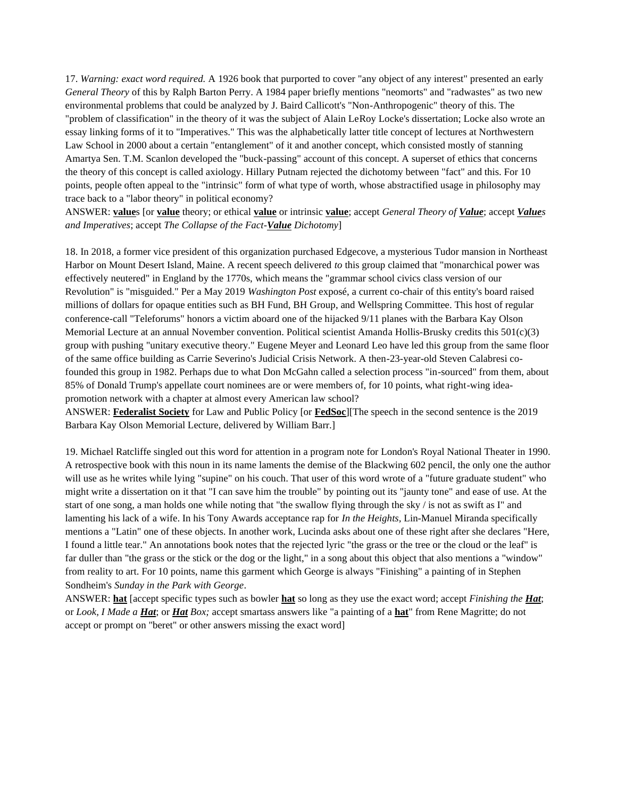17. *Warning: exact word required.* A 1926 book that purported to cover "any object of any interest" presented an early *General Theory* of this by Ralph Barton Perry. A 1984 paper briefly mentions "neomorts" and "radwastes" as two new environmental problems that could be analyzed by J. Baird Callicott's "Non-Anthropogenic" theory of this. The "problem of classification" in the theory of it was the subject of Alain LeRoy Locke's dissertation; Locke also wrote an essay linking forms of it to "Imperatives." This was the alphabetically latter title concept of lectures at Northwestern Law School in 2000 about a certain "entanglement" of it and another concept, which consisted mostly of stanning Amartya Sen. T.M. Scanlon developed the "buck-passing" account of this concept. A superset of ethics that concerns the theory of this concept is called axiology. Hillary Putnam rejected the dichotomy between "fact" and this. For 10 points, people often appeal to the "intrinsic" form of what type of worth, whose abstractified usage in philosophy may trace back to a "labor theory" in political economy?

ANSWER: **value**s [or **value** theory; or ethical **value** or intrinsic **value**; accept *General Theory of Value*; accept *Values and Imperatives*; accept *The Collapse of the Fact-Value Dichotomy*]

18. In 2018, a former vice president of this organization purchased Edgecove, a mysterious Tudor mansion in Northeast Harbor on Mount Desert Island, Maine. A recent speech delivered *to* this group claimed that "monarchical power was effectively neutered" in England by the 1770s, which means the "grammar school civics class version of our Revolution" is "misguided." Per a May 2019 *Washington Post* exposé, a current co-chair of this entity's board raised millions of dollars for opaque entities such as BH Fund, BH Group, and Wellspring Committee. This host of regular conference-call "Teleforums" honors a victim aboard one of the hijacked 9/11 planes with the Barbara Kay Olson Memorial Lecture at an annual November convention. Political scientist Amanda Hollis-Brusky credits this  $501(c)(3)$ group with pushing "unitary executive theory." Eugene Meyer and Leonard Leo have led this group from the same floor of the same office building as Carrie Severino's Judicial Crisis Network. A then-23-year-old Steven Calabresi cofounded this group in 1982. Perhaps due to what Don McGahn called a selection process "in-sourced" from them, about 85% of Donald Trump's appellate court nominees are or were members of, for 10 points, what right-wing ideapromotion network with a chapter at almost every American law school?

ANSWER: **Federalist Society** for Law and Public Policy [or **FedSoc**][The speech in the second sentence is the 2019 Barbara Kay Olson Memorial Lecture, delivered by William Barr.]

19. Michael Ratcliffe singled out this word for attention in a program note for London's Royal National Theater in 1990. A retrospective book with this noun in its name laments the demise of the Blackwing 602 pencil, the only one the author will use as he writes while lying "supine" on his couch. That user of this word wrote of a "future graduate student" who might write a dissertation on it that "I can save him the trouble" by pointing out its "jaunty tone" and ease of use. At the start of one song, a man holds one while noting that "the swallow flying through the sky / is not as swift as I" and lamenting his lack of a wife. In his Tony Awards acceptance rap for *In the Heights,* Lin-Manuel Miranda specifically mentions a "Latin" one of these objects. In another work, Lucinda asks about one of these right after she declares "Here, I found a little tear." An annotations book notes that the rejected lyric "the grass or the tree or the cloud or the leaf" is far duller than "the grass or the stick or the dog or the light," in a song about this object that also mentions a "window" from reality to art. For 10 points, name this garment which George is always "Finishing" a painting of in Stephen Sondheim's *Sunday in the Park with George*.

ANSWER: **hat** [accept specific types such as bowler **hat** so long as they use the exact word; accept *Finishing the Hat*; or *Look, I Made a Hat*; or *Hat Box;* accept smartass answers like "a painting of a **hat**" from Rene Magritte; do not accept or prompt on "beret" or other answers missing the exact word]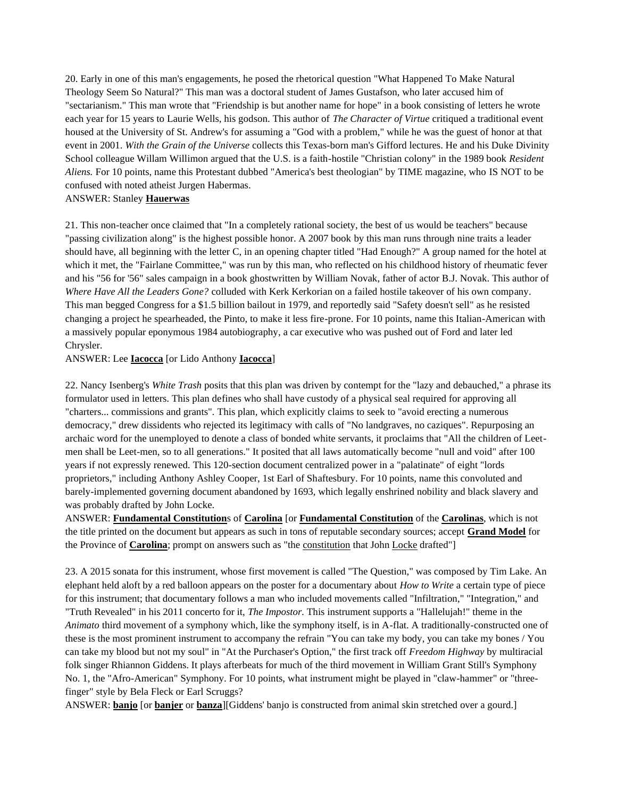20. Early in one of this man's engagements, he posed the rhetorical question "What Happened To Make Natural Theology Seem So Natural?" This man was a doctoral student of James Gustafson, who later accused him of "sectarianism." This man wrote that "Friendship is but another name for hope" in a book consisting of letters he wrote each year for 15 years to Laurie Wells, his godson. This author of *The Character of Virtue* critiqued a traditional event housed at the University of St. Andrew's for assuming a "God with a problem," while he was the guest of honor at that event in 2001. *With the Grain of the Universe* collects this Texas-born man's Gifford lectures. He and his Duke Divinity School colleague Willam Willimon argued that the U.S. is a faith-hostile "Christian colony" in the 1989 book *Resident Aliens.* For 10 points, name this Protestant dubbed "America's best theologian" by TIME magazine, who IS NOT to be confused with noted atheist Jurgen Habermas.

## ANSWER: Stanley **Hauerwas**

21. This non-teacher once claimed that "In a completely rational society, the best of us would be teachers" because "passing civilization along" is the highest possible honor. A 2007 book by this man runs through nine traits a leader should have, all beginning with the letter C, in an opening chapter titled "Had Enough?" A group named for the hotel at which it met, the "Fairlane Committee," was run by this man, who reflected on his childhood history of rheumatic fever and his "56 for '56" sales campaign in a book ghostwritten by William Novak, father of actor B.J. Novak. This author of *Where Have All the Leaders Gone?* colluded with Kerk Kerkorian on a failed hostile takeover of his own company. This man begged Congress for a \$1.5 billion bailout in 1979, and reportedly said "Safety doesn't sell" as he resisted changing a project he spearheaded, the Pinto, to make it less fire-prone. For 10 points, name this Italian-American with a massively popular eponymous 1984 autobiography, a car executive who was pushed out of Ford and later led Chrysler.

## ANSWER: Lee **Iacocca** [or Lido Anthony **Iacocca**]

22. Nancy Isenberg's *White Trash* posits that this plan was driven by contempt for the "lazy and debauched," a phrase its formulator used in letters. This plan defines who shall have custody of a physical seal required for approving all "charters... commissions and grants". This plan, which explicitly claims to seek to "avoid erecting a numerous democracy," drew dissidents who rejected its legitimacy with calls of "No landgraves, no caziques". Repurposing an archaic word for the unemployed to denote a class of bonded white servants, it proclaims that "All the children of Leetmen shall be Leet-men, so to all generations." It posited that all laws automatically become "null and void" after 100 years if not expressly renewed. This 120-section document centralized power in a "palatinate" of eight "lords proprietors," including Anthony Ashley Cooper, 1st Earl of Shaftesbury. For 10 points, name this convoluted and barely-implemented governing document abandoned by 1693, which legally enshrined nobility and black slavery and was probably drafted by John Locke.

ANSWER: **Fundamental Constitution**s of **Carolina** [or **Fundamental Constitution** of the **Carolinas**, which is not the title printed on the document but appears as such in tons of reputable secondary sources; accept **Grand Model** for the Province of **Carolina**; prompt on answers such as "the constitution that John Locke drafted"]

23. A 2015 sonata for this instrument, whose first movement is called "The Question," was composed by Tim Lake. An elephant held aloft by a red balloon appears on the poster for a documentary about *How to Write* a certain type of piece for this instrument; that documentary follows a man who included movements called "Infiltration," "Integration," and "Truth Revealed" in his 2011 concerto for it, *The Impostor.* This instrument supports a "Hallelujah!" theme in the *Animato* third movement of a symphony which, like the symphony itself, is in A-flat. A traditionally-constructed one of these is the most prominent instrument to accompany the refrain "You can take my body, you can take my bones / You can take my blood but not my soul" in "At the Purchaser's Option," the first track off *Freedom Highway* by multiracial folk singer Rhiannon Giddens. It plays afterbeats for much of the third movement in William Grant Still's Symphony No. 1, the "Afro-American" Symphony. For 10 points, what instrument might be played in "claw-hammer" or "threefinger" style by Bela Fleck or Earl Scruggs?

ANSWER: **banjo** [or **banjer** or **banza**][Giddens' banjo is constructed from animal skin stretched over a gourd.]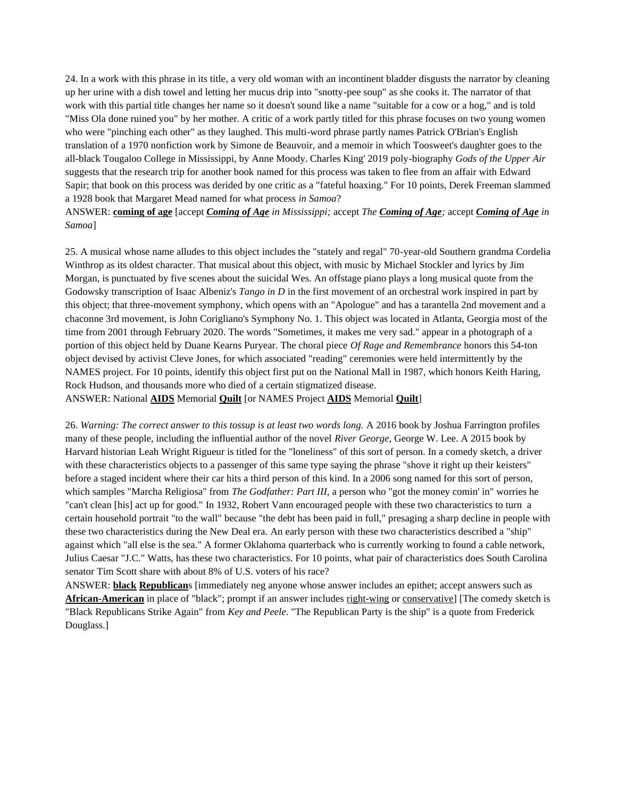24. In a work with this phrase in its title, a very old woman with an incontinent bladder disgusts the narrator by cleaning up her urine with a dish towel and letting her mucus drip into "snotty-pee soup" as she cooks it. The narrator of that work with this partial title changes her name so it doesn't sound like a name "suitable for a cow or a hog," and is told "Miss Ola done ruined you" by her mother. A critic of a work partly titled for this phrase focuses on two young women who were "pinching each other" as they laughed. This multi-word phrase partly names Patrick O'Brian's English translation of a 1970 nonfiction work by Simone de Beauvoir, and a memoir in which Toosweet's daughter goes to the all-black Tougaloo College in Mississippi, by Anne Moody. Charles King' 2019 poly-biography *Gods of the Upper Air* suggests that the research trip for another book named for this process was taken to flee from an affair with Edward Sapir; that book on this process was derided by one critic as a "fateful hoaxing." For 10 points, Derek Freeman slammed a 1928 book that Margaret Mead named for what process *in Samoa*?

ANSWER: **coming of age** [accept *Coming of Age in Mississippi;* accept *The Coming of Age;* accept *Coming of Age in Samoa*]

25. A musical whose name alludes to this object includes the "stately and regal" 70-year-old Southern grandma Cordelia Winthrop as its oldest character. That musical about this object, with music by Michael Stockler and lyrics by Jim Morgan, is punctuated by five scenes about the suicidal Wes. An offstage piano plays a long musical quote from the Godowsky transcription of Isaac Albeniz's *Tango in D* in the first movement of an orchestral work inspired in part by this object; that three-movement symphony, which opens with an "Apologue" and has a tarantella 2nd movement and a chaconne 3rd movement, is John Corigliano's Symphony No. 1. This object was located in Atlanta, Georgia most of the time from 2001 through February 2020. The words "Sometimes, it makes me very sad." appear in a photograph of a portion of this object held by Duane Kearns Puryear. The choral piece *Of Rage and Remembrance* honors this 54-ton object devised by activist Cleve Jones, for which associated "reading" ceremonies were held intermittently by the NAMES project. For 10 points, identify this object first put on the National Mall in 1987, which honors Keith Haring, Rock Hudson, and thousands more who died of a certain stigmatized disease.

ANSWER: National **AIDS** Memorial **Quilt** [or NAMES Project **AIDS** Memorial **Quilt**]

26. *Warning: The correct answer to this tossup is at least two words long.* A 2016 book by Joshua Farrington profiles many of these people, including the influential author of the novel *River George*, George W. Lee. A 2015 book by Harvard historian Leah Wright Rigueur is titled for the "loneliness" of this sort of person. In a comedy sketch, a driver with these characteristics objects to a passenger of this same type saying the phrase "shove it right up their keisters" before a staged incident where their car hits a third person of this kind. In a 2006 song named for this sort of person, which samples "Marcha Religiosa" from *The Godfather: Part III,* a person who "got the money comin' in" worries he "can't clean [his] act up for good." In 1932, Robert Vann encouraged people with these two characteristics to turn a certain household portrait "to the wall" because "the debt has been paid in full," presaging a sharp decline in people with these two characteristics during the New Deal era. An early person with these two characteristics described a "ship" against which "all else is the sea." A former Oklahoma quarterback who is currently working to found a cable network, Julius Caesar "J.C." Watts, has these two characteristics. For 10 points, what pair of characteristics does South Carolina senator Tim Scott share with about 8% of U.S. voters of his race?

ANSWER: **black Republican**s [immediately neg anyone whose answer includes an epithet; accept answers such as **African-American** in place of "black"; prompt if an answer includes right-wing or conservative] [The comedy sketch is "Black Republicans Strike Again" from *Key and Peele*. "The Republican Party is the ship" is a quote from Frederick Douglass.]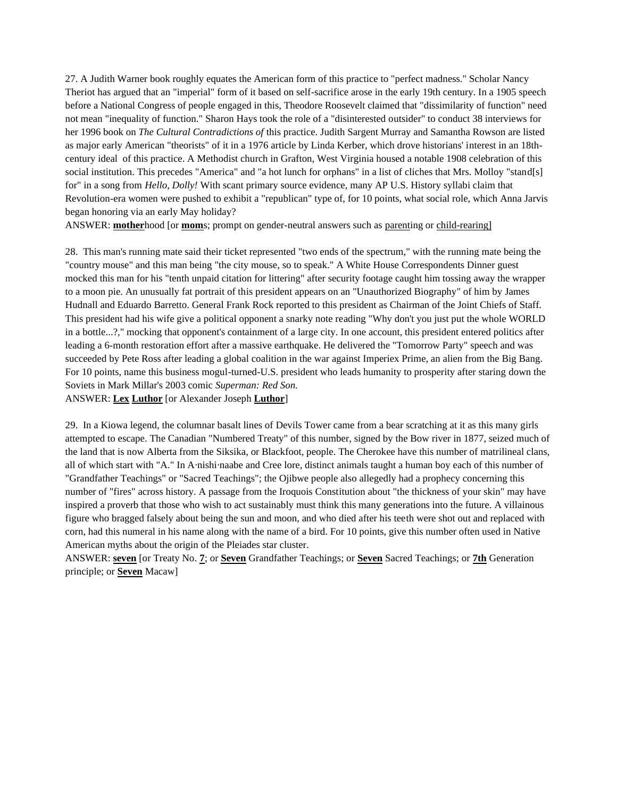27. A Judith Warner book roughly equates the American form of this practice to "perfect madness." Scholar Nancy Theriot has argued that an "imperial" form of it based on self-sacrifice arose in the early 19th century. In a 1905 speech before a National Congress of people engaged in this, Theodore Roosevelt claimed that "dissimilarity of function" need not mean "inequality of function." Sharon Hays took the role of a "disinterested outsider" to conduct 38 interviews for her 1996 book on *The Cultural Contradictions of* this practice. Judith Sargent Murray and Samantha Rowson are listed as major early American "theorists" of it in a 1976 article by Linda Kerber, which drove historians' interest in an 18thcentury ideal of this practice. A Methodist church in Grafton, West Virginia housed a notable 1908 celebration of this social institution. This precedes "America" and "a hot lunch for orphans" in a list of cliches that Mrs. Molloy "stand[s] for" in a song from *Hello, Dolly!* With scant primary source evidence, many AP U.S. History syllabi claim that Revolution-era women were pushed to exhibit a "republican" type of, for 10 points, what social role, which Anna Jarvis began honoring via an early May holiday?

ANSWER: **mother**hood [or **mom**s; prompt on gender-neutral answers such as parenting or child-rearing]

28. This man's running mate said their ticket represented "two ends of the spectrum," with the running mate being the "country mouse" and this man being "the city mouse, so to speak." A White House Correspondents Dinner guest mocked this man for his "tenth unpaid citation for littering" after security footage caught him tossing away the wrapper to a moon pie. An unusually fat portrait of this president appears on an "Unauthorized Biography" of him by James Hudnall and Eduardo Barretto. General Frank Rock reported to this president as Chairman of the Joint Chiefs of Staff. This president had his wife give a political opponent a snarky note reading "Why don't you just put the whole WORLD in a bottle...?," mocking that opponent's containment of a large city. In one account, this president entered politics after leading a 6-month restoration effort after a massive earthquake. He delivered the "Tomorrow Party" speech and was succeeded by Pete Ross after leading a global coalition in the war against Imperiex Prime, an alien from the Big Bang. For 10 points, name this business mogul-turned-U.S. president who leads humanity to prosperity after staring down the Soviets in Mark Millar's 2003 comic *Superman: Red Son.* ANSWER: **Lex Luthor** [or Alexander Joseph **Luthor**]

29. In a Kiowa legend, the columnar basalt lines of Devils Tower came from a bear scratching at it as this many girls attempted to escape. The Canadian "Numbered Treaty" of this number, signed by the Bow river in 1877, seized much of the land that is now Alberta from the Siksika, or Blackfoot, people. The Cherokee have this number of matrilineal clans, all of which start with "A." In A*·*nishi*·*naabe and Cree lore, distinct animals taught a human boy each of this number of "Grandfather Teachings" or "Sacred Teachings"; the Ojibwe people also allegedly had a prophecy concerning this number of "fires" across history. A passage from the Iroquois Constitution about "the thickness of your skin" may have inspired a proverb that those who wish to act sustainably must think this many generations into the future. A villainous figure who bragged falsely about being the sun and moon, and who died after his teeth were shot out and replaced with corn, had this numeral in his name along with the name of a bird. For 10 points, give this number often used in Native American myths about the origin of the Pleiades star cluster.

ANSWER: **seven** [or Treaty No. **7**; or **Seven** Grandfather Teachings; or **Seven** Sacred Teachings; or **7th** Generation principle; or **Seven** Macaw]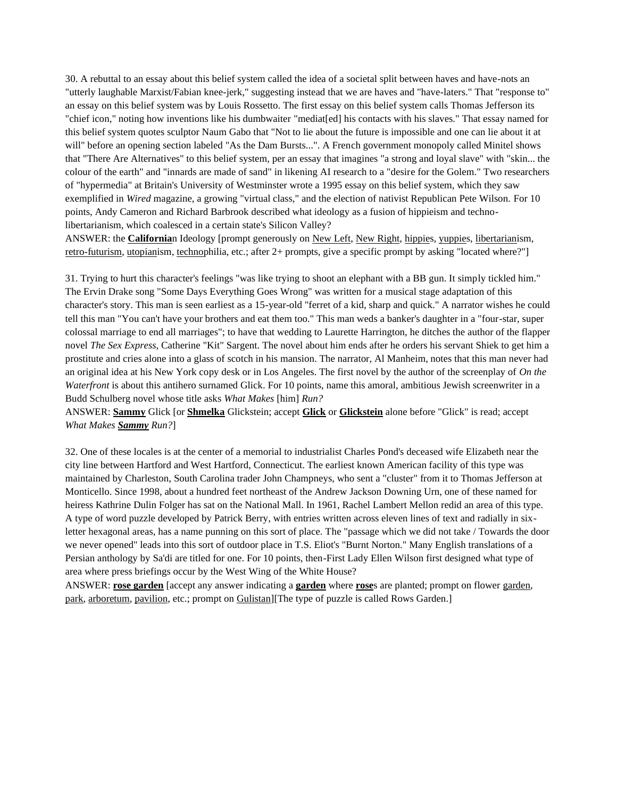30. A rebuttal to an essay about this belief system called the idea of a societal split between haves and have-nots an "utterly laughable Marxist/Fabian knee-jerk," suggesting instead that we are haves and "have-laters." That "response to" an essay on this belief system was by Louis Rossetto. The first essay on this belief system calls Thomas Jefferson its "chief icon," noting how inventions like his dumbwaiter "mediat[ed] his contacts with his slaves." That essay named for this belief system quotes sculptor Naum Gabo that "Not to lie about the future is impossible and one can lie about it at will" before an opening section labeled "As the Dam Bursts...". A French government monopoly called Minitel shows that "There Are Alternatives" to this belief system, per an essay that imagines "a strong and loyal slave" with "skin... the colour of the earth" and "innards are made of sand" in likening AI research to a "desire for the Golem." Two researchers of "hypermedia" at Britain's University of Westminster wrote a 1995 essay on this belief system, which they saw exemplified in *Wired* magazine, a growing "virtual class," and the election of nativist Republican Pete Wilson. For 10 points, Andy Cameron and Richard Barbrook described what ideology as a fusion of hippieism and technolibertarianism, which coalesced in a certain state's Silicon Valley?

ANSWER: the **California**n Ideology [prompt generously on New Left, New Right, hippies, yuppies, libertarianism, retro-futurism, utopianism, technophilia, etc.; after 2+ prompts, give a specific prompt by asking "located where?"]

31. Trying to hurt this character's feelings "was like trying to shoot an elephant with a BB gun. It simply tickled him." The Ervin Drake song "Some Days Everything Goes Wrong" was written for a musical stage adaptation of this character's story. This man is seen earliest as a 15-year-old "ferret of a kid, sharp and quick." A narrator wishes he could tell this man "You can't have your brothers and eat them too." This man weds a banker's daughter in a "four-star, super colossal marriage to end all marriages"; to have that wedding to Laurette Harrington, he ditches the author of the flapper novel *The Sex Express*, Catherine "Kit" Sargent. The novel about him ends after he orders his servant Shiek to get him a prostitute and cries alone into a glass of scotch in his mansion. The narrator, Al Manheim, notes that this man never had an original idea at his New York copy desk or in Los Angeles. The first novel by the author of the screenplay of *On the Waterfront* is about this antihero surnamed Glick. For 10 points, name this amoral, ambitious Jewish screenwriter in a Budd Schulberg novel whose title asks *What Makes* [him] *Run?*

ANSWER: **Sammy** Glick [or **Shmelka** Glickstein; accept **Glick** or **Glickstein** alone before "Glick" is read; accept *What Makes Sammy Run?*]

32. One of these locales is at the center of a memorial to industrialist Charles Pond's deceased wife Elizabeth near the city line between Hartford and West Hartford, Connecticut. The earliest known American facility of this type was maintained by Charleston, South Carolina trader John Champneys, who sent a "cluster" from it to Thomas Jefferson at Monticello. Since 1998, about a hundred feet northeast of the Andrew Jackson Downing Urn, one of these named for heiress Kathrine Dulin Folger has sat on the National Mall. In 1961, Rachel Lambert Mellon redid an area of this type. A type of word puzzle developed by Patrick Berry, with entries written across eleven lines of text and radially in sixletter hexagonal areas, has a name punning on this sort of place. The "passage which we did not take / Towards the door we never opened" leads into this sort of outdoor place in T.S. Eliot's "Burnt Norton." Many English translations of a Persian anthology by Sa'di are titled for one. For 10 points, then-First Lady Ellen Wilson first designed what type of area where press briefings occur by the West Wing of the White House?

ANSWER: **rose garden** [accept any answer indicating a **garden** where **rose**s are planted; prompt on flower garden, park, arboretum, pavilion, etc.; prompt on Gulistan][The type of puzzle is called Rows Garden.]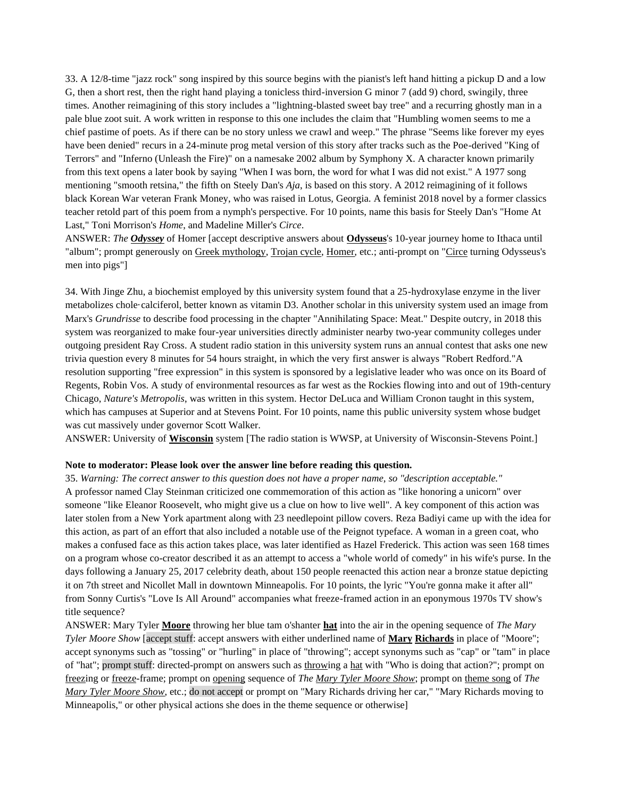33. A 12/8-time "jazz rock" song inspired by this source begins with the pianist's left hand hitting a pickup D and a low G, then a short rest, then the right hand playing a tonicless third-inversion G minor 7 (add 9) chord, swingily, three times. Another reimagining of this story includes a "lightning-blasted sweet bay tree" and a recurring ghostly man in a pale blue zoot suit. A work written in response to this one includes the claim that "Humbling women seems to me a chief pastime of poets. As if there can be no story unless we crawl and weep." The phrase "Seems like forever my eyes have been denied" recurs in a 24-minute prog metal version of this story after tracks such as the Poe-derived "King of Terrors" and "Inferno (Unleash the Fire)" on a namesake 2002 album by Symphony X. A character known primarily from this text opens a later book by saying "When I was born, the word for what I was did not exist." A 1977 song mentioning "smooth retsina," the fifth on Steely Dan's *Aja*, is based on this story. A 2012 reimagining of it follows black Korean War veteran Frank Money, who was raised in Lotus, Georgia. A feminist 2018 novel by a former classics teacher retold part of this poem from a nymph's perspective. For 10 points, name this basis for Steely Dan's "Home At Last," Toni Morrison's *Home*, and Madeline Miller's *Circe*.

ANSWER: *The Odyssey* of Homer [accept descriptive answers about **Odysseus**'s 10-year journey home to Ithaca until "album"; prompt generously on Greek mythology, Trojan cycle, Homer, etc.; anti-prompt on "Circe turning Odysseus's men into pigs"]

34. With Jinge Zhu, a biochemist employed by this university system found that a 25-hydroxylase enzyme in the liver metabolizes chole·calciferol, better known as vitamin D3. Another scholar in this university system used an image from Marx's *Grundrisse* to describe food processing in the chapter "Annihilating Space: Meat." Despite outcry, in 2018 this system was reorganized to make four-year universities directly administer nearby two-year community colleges under outgoing president Ray Cross. A student radio station in this university system runs an annual contest that asks one new trivia question every 8 minutes for 54 hours straight, in which the very first answer is always "Robert Redford."A resolution supporting "free expression" in this system is sponsored by a legislative leader who was once on its Board of Regents, Robin Vos. A study of environmental resources as far west as the Rockies flowing into and out of 19th-century Chicago, *Nature's Metropolis*, was written in this system. Hector DeLuca and William Cronon taught in this system, which has campuses at Superior and at Stevens Point. For 10 points, name this public university system whose budget was cut massively under governor Scott Walker.

ANSWER: University of **Wisconsin** system [The radio station is WWSP, at University of Wisconsin-Stevens Point.]

### **Note to moderator: Please look over the answer line before reading this question.**

35. *Warning: The correct answer to this question does not have a proper name, so "description acceptable."*  A professor named Clay Steinman criticized one commemoration of this action as "like honoring a unicorn" over someone "like Eleanor Roosevelt, who might give us a clue on how to live well". A key component of this action was later stolen from a New York apartment along with 23 needlepoint pillow covers. Reza Badiyi came up with the idea for this action, as part of an effort that also included a notable use of the Peignot typeface. A woman in a green coat, who makes a confused face as this action takes place, was later identified as Hazel Frederick. This action was seen 168 times on a program whose co-creator described it as an attempt to access a "whole world of comedy" in his wife's purse. In the days following a January 25, 2017 celebrity death, about 150 people reenacted this action near a bronze statue depicting it on 7th street and Nicollet Mall in downtown Minneapolis. For 10 points, the lyric "You're gonna make it after all" from Sonny Curtis's "Love Is All Around" accompanies what freeze-framed action in an eponymous 1970s TV show's title sequence?

ANSWER: Mary Tyler **Moore** throwing her blue tam o'shanter **hat** into the air in the opening sequence of *The Mary Tyler Moore Show* [accept stuff: accept answers with either underlined name of **Mary Richards** in place of "Moore"; accept synonyms such as "tossing" or "hurling" in place of "throwing"; accept synonyms such as "cap" or "tam" in place of "hat"; prompt stuff: directed-prompt on answers such as throwing a hat with "Who is doing that action?"; prompt on freezing or freeze-frame; prompt on opening sequence of *The Mary Tyler Moore Show*; prompt on theme song of *The Mary Tyler Moore Show*, etc.; do not accept or prompt on "Mary Richards driving her car," "Mary Richards moving to Minneapolis," or other physical actions she does in the theme sequence or otherwise]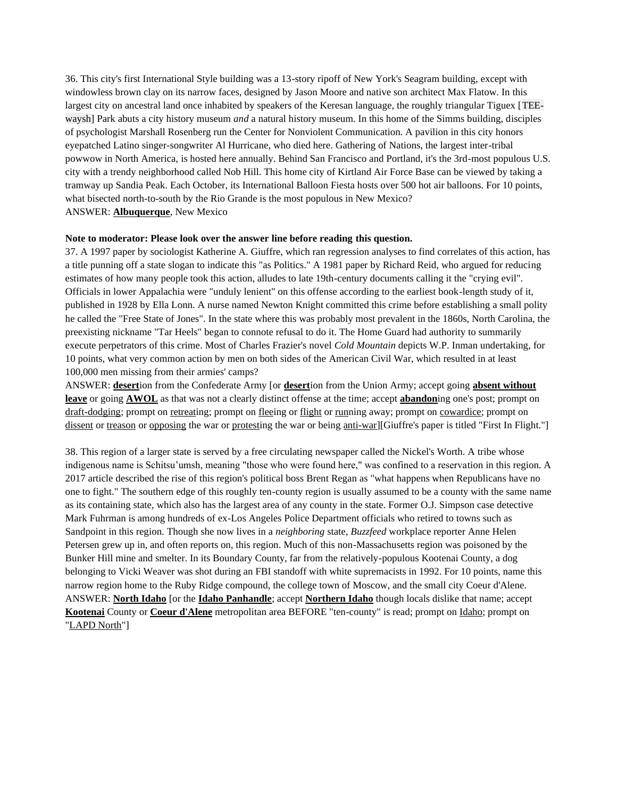36. This city's first International Style building was a 13-story ripoff of New York's Seagram building, except with windowless brown clay on its narrow faces, designed by Jason Moore and native son architect Max Flatow. In this largest city on ancestral land once inhabited by speakers of the Keresan language, the roughly triangular Tiguex [TEEwaysh] Park abuts a city history museum *and* a natural history museum. In this home of the Simms building, disciples of psychologist Marshall Rosenberg run the Center for Nonviolent Communication. A pavilion in this city honors eyepatched Latino singer-songwriter Al Hurricane, who died here. Gathering of Nations, the largest inter-tribal powwow in North America, is hosted here annually. Behind San Francisco and Portland, it's the 3rd-most populous U.S. city with a trendy neighborhood called Nob Hill. This home city of Kirtland Air Force Base can be viewed by taking a tramway up Sandia Peak. Each October, its International Balloon Fiesta hosts over 500 hot air balloons. For 10 points, what bisected north-to-south by the Rio Grande is the most populous in New Mexico? ANSWER: **Albuquerque**, New Mexico

### **Note to moderator: Please look over the answer line before reading this question.**

37. A 1997 paper by sociologist Katherine A. Giuffre, which ran regression analyses to find correlates of this action, has a title punning off a state slogan to indicate this "as Politics." A 1981 paper by Richard Reid, who argued for reducing estimates of how many people took this action, alludes to late 19th-century documents calling it the "crying evil". Officials in lower Appalachia were "unduly lenient" on this offense according to the earliest book-length study of it, published in 1928 by Ella Lonn. A nurse named Newton Knight committed this crime before establishing a small polity he called the "Free State of Jones". In the state where this was probably most prevalent in the 1860s, North Carolina, the preexisting nickname "Tar Heels" began to connote refusal to do it. The Home Guard had authority to summarily execute perpetrators of this crime. Most of Charles Frazier's novel *Cold Mountain* depicts W.P. Inman undertaking, for 10 points, what very common action by men on both sides of the American Civil War, which resulted in at least 100,000 men missing from their armies' camps?

ANSWER: **desert**ion from the Confederate Army [or **desert**ion from the Union Army; accept going **absent without leave** or going **AWOL** as that was not a clearly distinct offense at the time; accept **abandon**ing one's post; prompt on draft-dodging; prompt on retreating; prompt on fleeing or flight or running away; prompt on cowardice; prompt on dissent or treason or opposing the war or protesting the war or being anti-war][Giuffre's paper is titled "First In Flight."]

38. This region of a larger state is served by a free circulating newspaper called the Nickel's Worth. A tribe whose indigenous name is Schitsu'umsh, meaning "those who were found here," was confined to a reservation in this region. A 2017 article described the rise of this region's political boss Brent Regan as "what happens when Republicans have no one to fight." The southern edge of this roughly ten-county region is usually assumed to be a county with the same name as its containing state, which also has the largest area of any county in the state. Former O.J. Simpson case detective Mark Fuhrman is among hundreds of ex-Los Angeles Police Department officials who retired to towns such as Sandpoint in this region. Though she now lives in a *neighboring* state, *Buzzfeed* workplace reporter Anne Helen Petersen grew up in, and often reports on, this region. Much of this non-Massachusetts region was poisoned by the Bunker Hill mine and smelter. In its Boundary County, far from the relatively-populous Kootenai County, a dog belonging to Vicki Weaver was shot during an FBI standoff with white supremacists in 1992. For 10 points, name this narrow region home to the Ruby Ridge compound, the college town of Moscow, and the small city Coeur d'Alene. ANSWER: **North Idaho** [or the **Idaho Panhandle**; accept **Northern Idaho** though locals dislike that name; accept **Kootenai** County or **Coeur d'Alene** metropolitan area BEFORE "ten-county" is read; prompt on Idaho; prompt on "LAPD North"]